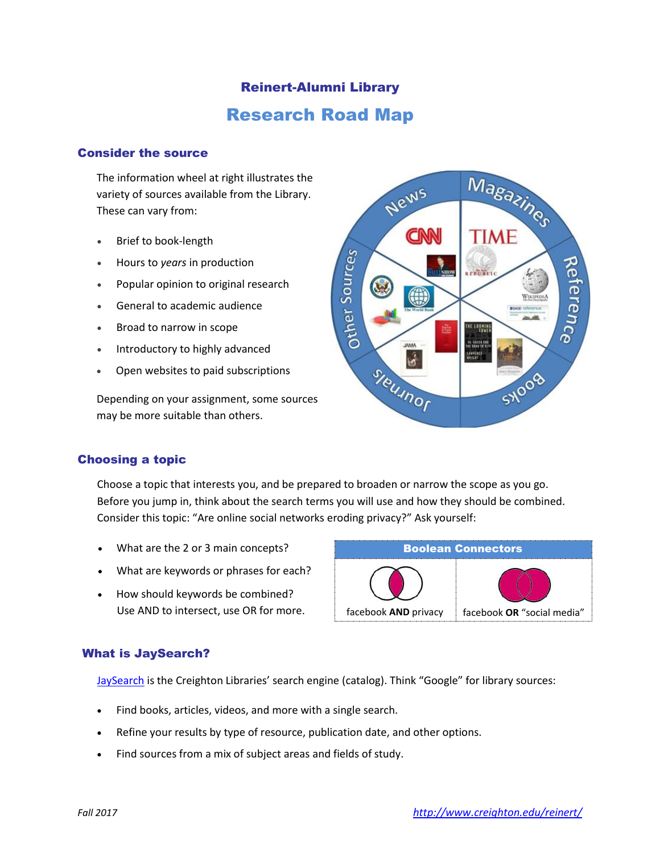# Reinert-Alumni Library Research Road Map

## Consider the source

The information wheel at right illustrates the variety of sources available from the Library. These can vary from:

- Brief to book-length
- Hours to *years* in production
- Popular opinion to original research
- General to academic audience
- Broad to narrow in scope
- Introductory to highly advanced
- Open websites to paid subscriptions

Depending on your assignment, some sources may be more suitable than others.



## Choosing a topic

Choose a topic that interests you, and be prepared to broaden or narrow the scope as you go. Before you jump in, think about the search terms you will use and how they should be combined. Consider this topic: "Are online social networks eroding privacy?" Ask yourself:

- What are the 2 or 3 main concepts?
- What are keywords or phrases for each?
- How should keywords be combined? Use AND to intersect, use OR for more.



## What is JaySearch?

[JaySearch](http://creighton-primo.hosted.exlibrisgroup.com/primo_library/libweb/action/search.do?mode=Advanced&ct=AdvancedSearch&vid=01CRU&dscnt=0&dstmp=1464294106520) is the Creighton Libraries' search engine (catalog). Think "Google" for library sources:

- Find books, articles, videos, and more with a single search.
- Refine your results by type of resource, publication date, and other options.
- Find sources from a mix of subject areas and fields of study.